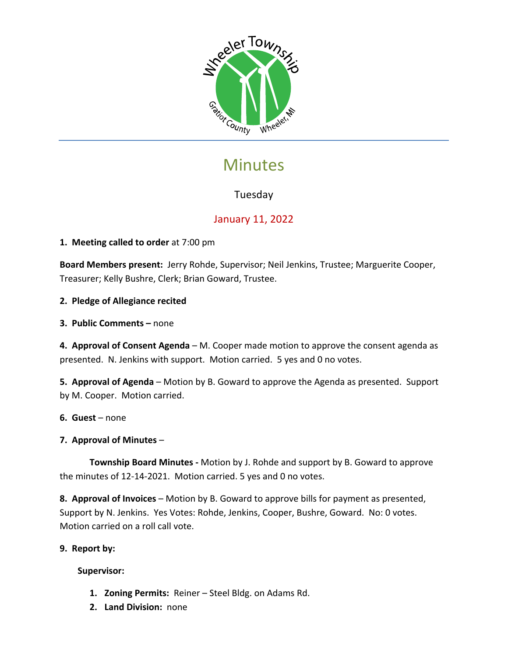

# **Minutes**

# Tuesday

# January 11, 2022

## **1. Meeting called to order** at 7:00 pm

**Board Members present:** Jerry Rohde, Supervisor; Neil Jenkins, Trustee; Marguerite Cooper, Treasurer; Kelly Bushre, Clerk; Brian Goward, Trustee.

## **2. Pledge of Allegiance recited**

**3. Public Comments –** none

**4. Approval of Consent Agenda** – M. Cooper made motion to approve the consent agenda as presented. N. Jenkins with support. Motion carried. 5 yes and 0 no votes.

**5. Approval of Agenda** – Motion by B. Goward to approve the Agenda as presented. Support by M. Cooper. Motion carried.

## **6. Guest** – none

## **7. Approval of Minutes** –

**Township Board Minutes -** Motion by J. Rohde and support by B. Goward to approve the minutes of 12-14-2021. Motion carried. 5 yes and 0 no votes.

**8. Approval of Invoices** – Motion by B. Goward to approve bills for payment as presented, Support by N. Jenkins. Yes Votes: Rohde, Jenkins, Cooper, Bushre, Goward. No: 0 votes. Motion carried on a roll call vote.

## **9. Report by:**

## **Supervisor:**

- **1. Zoning Permits:** Reiner Steel Bldg. on Adams Rd.
- **2. Land Division:** none